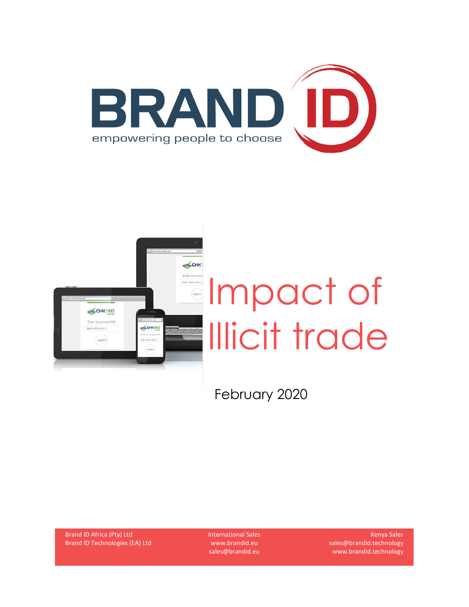



February 2020

Brand ID Africa (Pty) Ltd Brand ID Technologies (EA) Ltd International Sales www.brandid.eu sales@brandid.eu

Kenya Sales sales@brandid.technology www.brandid.technology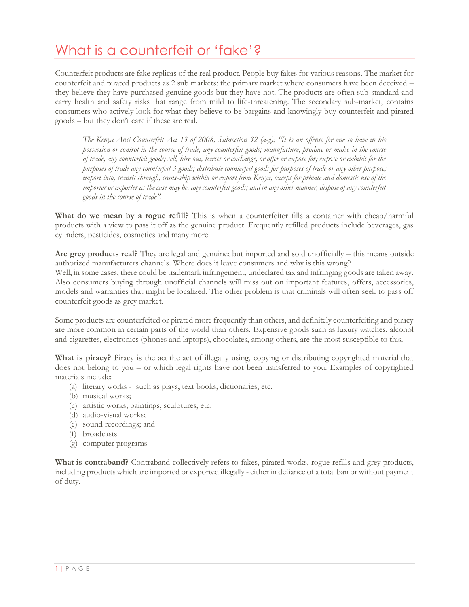## What is a counterfeit or 'fake'?

Counterfeit products are fake replicas of the real product. People buy fakes for various reasons. The market for counterfeit and pirated products as 2 sub markets: the primary market where consumers have been deceived – they believe they have purchased genuine goods but they have not. The products are often sub-standard and carry health and safety risks that range from mild to life-threatening. The secondary sub-market, contains consumers who actively look for what they believe to be bargains and knowingly buy counterfeit and pirated goods – but they don't care if these are real.

*The Kenya Anti Counterfeit Act 13 of 2008, Subsection 32 (a-g); "It is an offense for one to have in his possession or control in the course of trade, any counterfeit goods; manufacture, produce or make in the course of trade, any counterfeit goods; sell, hire out, barter or exchange, or offer or expose for; expose or exhibit for the purposes of trade any counterfeit 3 goods; distribute counterfeit goods for purposes of trade or any other purpose; import into, transit through, trans-ship within or export from Kenya, except for private and domestic use of the importer or exporter as the case may be, any counterfeit goods; and in any other manner, dispose of any counterfeit goods in the course of trade".*

**What do we mean by a rogue refill?** This is when a counterfeiter fills a container with cheap/harmful products with a view to pass it off as the genuine product. Frequently refilled products include beverages, gas cylinders, pesticides, cosmetics and many more.

**Are grey products real?** They are legal and genuine; but imported and sold unofficially – this means outside authorized manufacturers channels. Where does it leave consumers and why is this wrong? Well, in some cases, there could be trademark infringement, undeclared tax and infringing goods are taken away. Also consumers buying through unofficial channels will miss out on important features, offers, accessories, models and warranties that might be localized. The other problem is that criminals will often seek to pass off counterfeit goods as grey market.

Some products are counterfeited or pirated more frequently than others, and definitely counterfeiting and piracy are more common in certain parts of the world than others. Expensive goods such as luxury watches, alcohol and cigarettes, electronics (phones and laptops), chocolates, among others, are the most susceptible to this.

**What is piracy?** Piracy is the act the act of illegally using, copying or distributing copyrighted material that does not belong to you – or which legal rights have not been transferred to you. Examples of copyrighted materials include:

- (a) literary works such as plays, text books, dictionaries, etc.
- (b) musical works;
- (c) artistic works; paintings, sculptures, etc.
- (d) audio-visual works;
- (e) sound recordings; and
- (f) broadcasts.
- (g) computer programs

**What is contraband?** Contraband collectively refers to fakes, pirated works, rogue refills and grey products, including products which are imported or exported illegally - either in defiance of a total ban or without payment of duty.